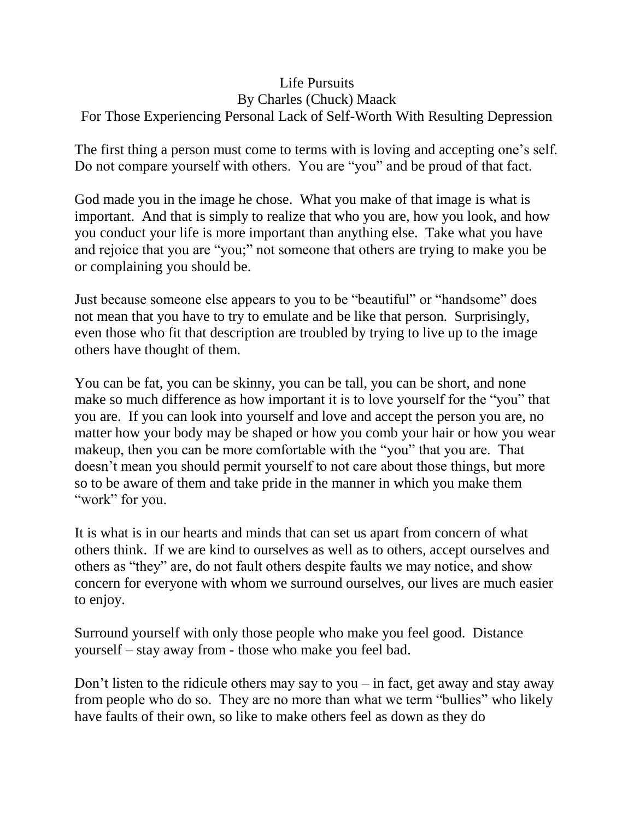## Life Pursuits

## By Charles (Chuck) Maack

## For Those Experiencing Personal Lack of Self-Worth With Resulting Depression

The first thing a person must come to terms with is loving and accepting one's self. Do not compare yourself with others. You are "you" and be proud of that fact.

God made you in the image he chose. What you make of that image is what is important. And that is simply to realize that who you are, how you look, and how you conduct your life is more important than anything else. Take what you have and rejoice that you are "you;" not someone that others are trying to make you be or complaining you should be.

Just because someone else appears to you to be "beautiful" or "handsome" does not mean that you have to try to emulate and be like that person. Surprisingly, even those who fit that description are troubled by trying to live up to the image others have thought of them.

You can be fat, you can be skinny, you can be tall, you can be short, and none make so much difference as how important it is to love yourself for the "you" that you are. If you can look into yourself and love and accept the person you are, no matter how your body may be shaped or how you comb your hair or how you wear makeup, then you can be more comfortable with the "you" that you are. That doesn't mean you should permit yourself to not care about those things, but more so to be aware of them and take pride in the manner in which you make them "work" for you.

It is what is in our hearts and minds that can set us apart from concern of what others think. If we are kind to ourselves as well as to others, accept ourselves and others as "they" are, do not fault others despite faults we may notice, and show concern for everyone with whom we surround ourselves, our lives are much easier to enjoy.

Surround yourself with only those people who make you feel good. Distance yourself – stay away from - those who make you feel bad.

Don't listen to the ridicule others may say to you  $-$  in fact, get away and stay away from people who do so. They are no more than what we term "bullies" who likely have faults of their own, so like to make others feel as down as they do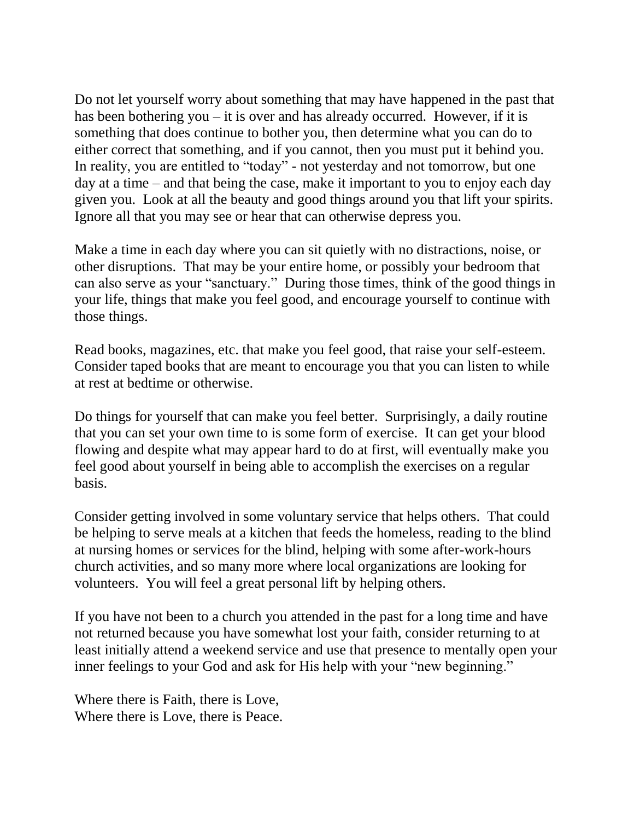Do not let yourself worry about something that may have happened in the past that has been bothering you – it is over and has already occurred. However, if it is something that does continue to bother you, then determine what you can do to either correct that something, and if you cannot, then you must put it behind you. In reality, you are entitled to "today" - not yesterday and not tomorrow, but one day at a time – and that being the case, make it important to you to enjoy each day given you. Look at all the beauty and good things around you that lift your spirits. Ignore all that you may see or hear that can otherwise depress you.

Make a time in each day where you can sit quietly with no distractions, noise, or other disruptions. That may be your entire home, or possibly your bedroom that can also serve as your "sanctuary." During those times, think of the good things in your life, things that make you feel good, and encourage yourself to continue with those things.

Read books, magazines, etc. that make you feel good, that raise your self-esteem. Consider taped books that are meant to encourage you that you can listen to while at rest at bedtime or otherwise.

Do things for yourself that can make you feel better. Surprisingly, a daily routine that you can set your own time to is some form of exercise. It can get your blood flowing and despite what may appear hard to do at first, will eventually make you feel good about yourself in being able to accomplish the exercises on a regular basis.

Consider getting involved in some voluntary service that helps others. That could be helping to serve meals at a kitchen that feeds the homeless, reading to the blind at nursing homes or services for the blind, helping with some after-work-hours church activities, and so many more where local organizations are looking for volunteers. You will feel a great personal lift by helping others.

If you have not been to a church you attended in the past for a long time and have not returned because you have somewhat lost your faith, consider returning to at least initially attend a weekend service and use that presence to mentally open your inner feelings to your God and ask for His help with your "new beginning."

Where there is Faith, there is Love, Where there is Love, there is Peace.